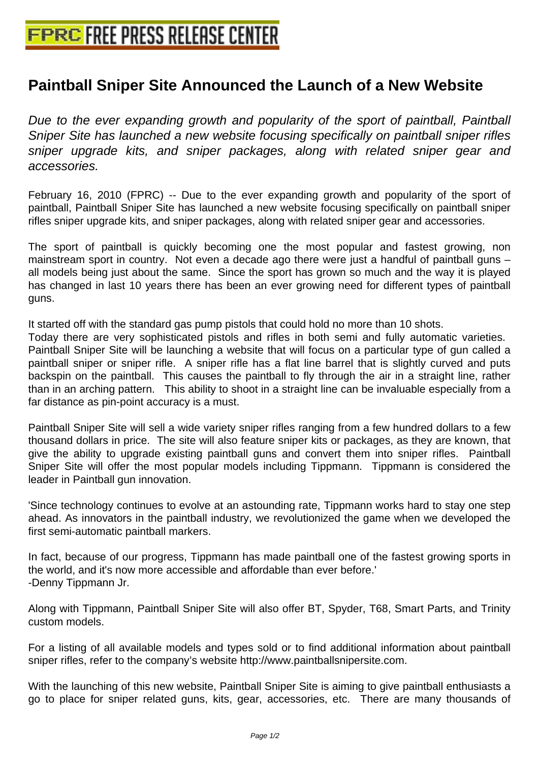## **[Paintball Sniper Site Announced th](http://www.free-press-release-center.info)e Launch of a New Website**

Due to the ever expanding growth and popularity of the sport of paintball, Paintball Sniper Site has launched a new website focusing specifically on paintball sniper rifles sniper upgrade kits, and sniper packages, along with related sniper gear and accessories.

February 16, 2010 (FPRC) -- Due to the ever expanding growth and popularity of the sport of paintball, Paintball Sniper Site has launched a new website focusing specifically on paintball sniper rifles sniper upgrade kits, and sniper packages, along with related sniper gear and accessories.

The sport of paintball is quickly becoming one the most popular and fastest growing, non mainstream sport in country. Not even a decade ago there were just a handful of paintball guns – all models being just about the same. Since the sport has grown so much and the way it is played has changed in last 10 years there has been an ever growing need for different types of paintball guns.

It started off with the standard gas pump pistols that could hold no more than 10 shots.

Today there are very sophisticated pistols and rifles in both semi and fully automatic varieties. Paintball Sniper Site will be launching a website that will focus on a particular type of gun called a paintball sniper or sniper rifle. A sniper rifle has a flat line barrel that is slightly curved and puts backspin on the paintball. This causes the paintball to fly through the air in a straight line, rather than in an arching pattern. This ability to shoot in a straight line can be invaluable especially from a far distance as pin-point accuracy is a must.

Paintball Sniper Site will sell a wide variety sniper rifles ranging from a few hundred dollars to a few thousand dollars in price. The site will also feature sniper kits or packages, as they are known, that give the ability to upgrade existing paintball guns and convert them into sniper rifles. Paintball Sniper Site will offer the most popular models including Tippmann. Tippmann is considered the leader in Paintball gun innovation.

'Since technology continues to evolve at an astounding rate, Tippmann works hard to stay one step ahead. As innovators in the paintball industry, we revolutionized the game when we developed the first semi-automatic paintball markers.

In fact, because of our progress, Tippmann has made paintball one of the fastest growing sports in the world, and it's now more accessible and affordable than ever before.' -Denny Tippmann Jr.

Along with Tippmann, Paintball Sniper Site will also offer BT, Spyder, T68, Smart Parts, and Trinity custom models.

For a listing of all available models and types sold or to find additional information about paintball sniper rifles, refer to the company's website http://www.paintballsnipersite.com.

With the launching of this new website, Paintball Sniper Site is aiming to give paintball enthusiasts a go to place for sniper related guns, kits, gear, accessories, etc. There are many thousands of